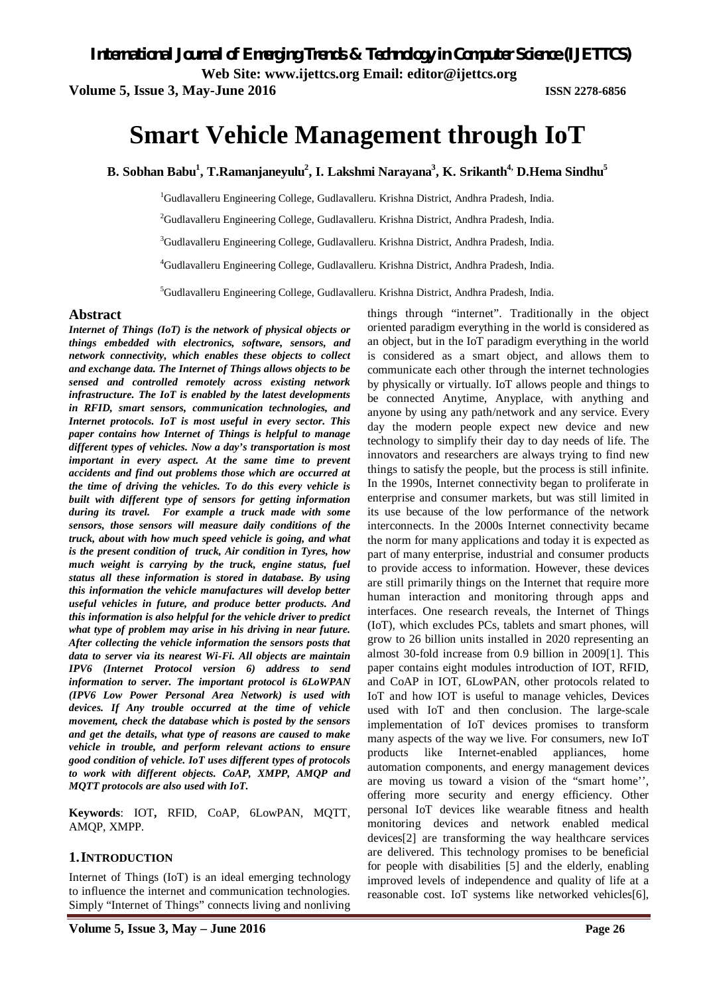*International Journal of Emerging Trends & Technology in Computer Science (IJETTCS)*

**Web Site: www.ijettcs.org Email: editor@ijettcs.org** 

**Volume 5, Issue 3, May-June 2016 ISSN 2278-6856**

# **Smart Vehicle Management through IoT**

**B. Sobhan Babu<sup>1</sup> , T.Ramanjaneyulu<sup>2</sup> , I. Lakshmi Narayana<sup>3</sup> , K. Srikanth4, D.Hema Sindhu<sup>5</sup>**

<sup>1</sup>Gudlavalleru Engineering College, Gudlavalleru. Krishna District, Andhra Pradesh, India.

<sup>2</sup>Gudlavalleru Engineering College, Gudlavalleru. Krishna District, Andhra Pradesh, India.

<sup>3</sup>Gudlavalleru Engineering College, Gudlavalleru. Krishna District, Andhra Pradesh, India.

<sup>4</sup>Gudlavalleru Engineering College, Gudlavalleru. Krishna District, Andhra Pradesh, India.

<sup>5</sup>Gudlavalleru Engineering College, Gudlavalleru. Krishna District, Andhra Pradesh, India.

#### **Abstract**

*Internet of Things (IoT) is the network of physical objects or things embedded with electronics, software, sensors, and network connectivity, which enables these objects to collect and exchange data. The Internet of Things allows objects to be sensed and controlled remotely across existing network infrastructure. The IoT is enabled by the latest developments in RFID, smart sensors, communication technologies, and Internet protocols. IoT is most useful in every sector. This paper contains how Internet of Things is helpful to manage different types of vehicles. Now a day's transportation is most important in every aspect. At the same time to prevent accidents and find out problems those which are occurred at the time of driving the vehicles. To do this every vehicle is built with different type of sensors for getting information during its travel. For example a truck made with some sensors, those sensors will measure daily conditions of the truck, about with how much speed vehicle is going, and what is the present condition of truck, Air condition in Tyres, how much weight is carrying by the truck, engine status, fuel status all these information is stored in database. By using this information the vehicle manufactures will develop better useful vehicles in future, and produce better products. And this information is also helpful for the vehicle driver to predict what type of problem may arise in his driving in near future. After collecting the vehicle information the sensors posts that data to server via its nearest Wi-Fi. All objects are maintain IPV6 (Internet Protocol version 6) address to send information to server. The important protocol is 6LoWPAN (IPV6 Low Power Personal Area Network) is used with devices. If Any trouble occurred at the time of vehicle movement, check the database which is posted by the sensors and get the details, what type of reasons are caused to make vehicle in trouble, and perform relevant actions to ensure good condition of vehicle. IoT uses different types of protocols to work with different objects. CoAP, XMPP, AMQP and MQTT protocols are also used with IoT.* 

**Keywords**: IOT**,** RFID, CoAP, 6LowPAN, MQTT, AMQP, XMPP.

#### **1.INTRODUCTION**

Internet of Things (IoT) is an ideal emerging technology to influence the internet and communication technologies. Simply "Internet of Things" connects living and nonliving

things through "internet". Traditionally in the object oriented paradigm everything in the world is considered as an object, but in the IoT paradigm everything in the world is considered as a smart object, and allows them to communicate each other through the internet technologies by physically or virtually. IoT allows people and things to be connected Anytime, Anyplace, with anything and anyone by using any path/network and any service. Every day the modern people expect new device and new technology to simplify their day to day needs of life. The innovators and researchers are always trying to find new things to satisfy the people, but the process is still infinite. In the 1990s, Internet connectivity began to proliferate in enterprise and consumer markets, but was still limited in its use because of the low performance of the network interconnects. In the 2000s Internet connectivity became the norm for many applications and today it is expected as part of many enterprise, industrial and consumer products to provide access to information. However, these devices are still primarily things on the Internet that require more human interaction and monitoring through apps and interfaces. One research reveals, the Internet of Things (IoT), which excludes PCs, tablets and smart phones, will grow to 26 billion units installed in 2020 representing an almost 30-fold increase from 0.9 billion in 2009[1]. This paper contains eight modules introduction of IOT, RFID, and CoAP in IOT, 6LowPAN, other protocols related to IoT and how IOT is useful to manage vehicles, Devices used with IoT and then conclusion. The large-scale implementation of IoT devices promises to transform many aspects of the way we live. For consumers, new IoT products like Internet-enabled appliances, home automation components, and energy management devices are moving us toward a vision of the "smart home'', offering more security and energy efficiency. Other personal IoT devices like wearable fitness and health monitoring devices and network enabled medical devices[2] are transforming the way healthcare services are delivered. This technology promises to be beneficial for people with disabilities [5] and the elderly, enabling improved levels of independence and quality of life at a reasonable cost. IoT systems like networked vehicles[6],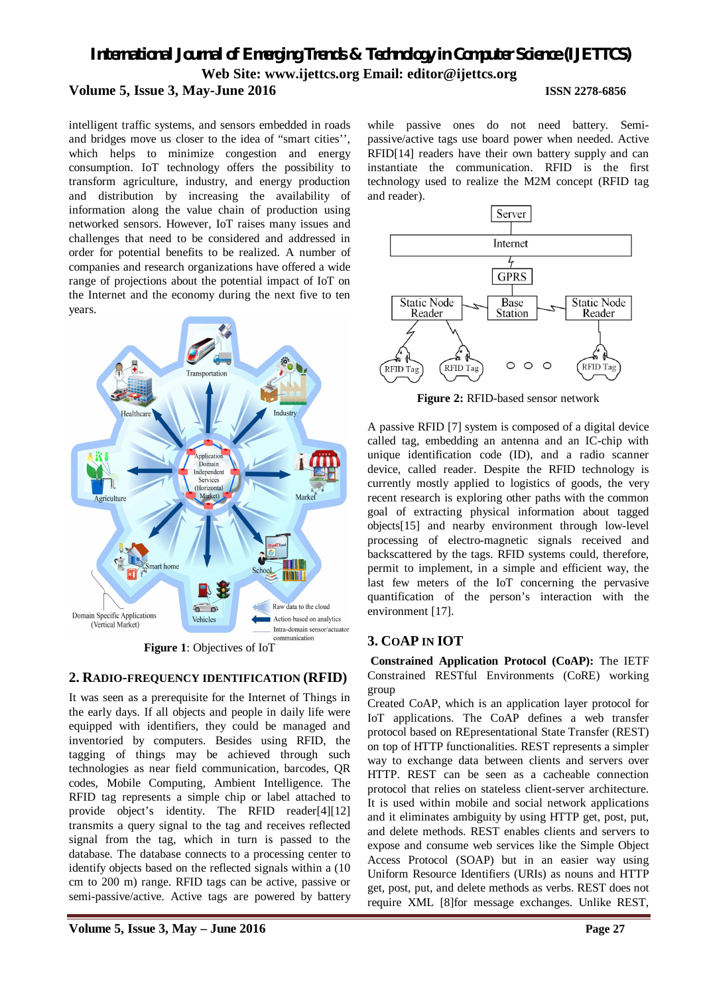# *International Journal of Emerging Trends & Technology in Computer Science (IJETTCS)* **Web Site: www.ijettcs.org Email: editor@ijettcs.org Volume 5, Issue 3, May-June 2016 ISSN 2278-6856**

intelligent traffic systems, and sensors embedded in roads and bridges move us closer to the idea of "smart cities'', which helps to minimize congestion and energy consumption. IoT technology offers the possibility to transform agriculture, industry, and energy production and distribution by increasing the availability of information along the value chain of production using networked sensors. However, IoT raises many issues and challenges that need to be considered and addressed in order for potential benefits to be realized. A number of companies and research organizations have offered a wide range of projections about the potential impact of IoT on the Internet and the economy during the next five to ten years.



**Figure 1**: Objectives of IoT

# **2. RADIO-FREQUENCY IDENTIFICATION (RFID)**

It was seen as a prerequisite for the Internet of Things in the early days. If all objects and people in daily life were equipped with identifiers, they could be managed and inventoried by computers. Besides using RFID, the tagging of things may be achieved through such technologies as near field communication, barcodes, QR codes, Mobile Computing, Ambient Intelligence. The RFID tag represents a simple chip or label attached to provide object's identity. The RFID reader[4][12] transmits a query signal to the tag and receives reflected signal from the tag, which in turn is passed to the database. The database connects to a processing center to identify objects based on the reflected signals within a (10 cm to 200 m) range. RFID tags can be active, passive or semi-passive/active. Active tags are powered by battery

while passive ones do not need battery. Semipassive/active tags use board power when needed. Active RFID[14] readers have their own battery supply and can instantiate the communication. RFID is the first technology used to realize the M2M concept (RFID tag and reader).



**Figure 2:** RFID-based sensor network

A passive RFID [7] system is composed of a digital device called tag, embedding an antenna and an IC-chip with unique identification code (ID), and a radio scanner device, called reader. Despite the RFID technology is currently mostly applied to logistics of goods, the very recent research is exploring other paths with the common goal of extracting physical information about tagged objects[15] and nearby environment through low-level processing of electro-magnetic signals received and backscattered by the tags. RFID systems could, therefore, permit to implement, in a simple and efficient way, the last few meters of the IoT concerning the pervasive quantification of the person's interaction with the environment [17].

# **3. COAP IN IOT**

**Constrained Application Protocol (CoAP):** The IETF Constrained RESTful Environments (CoRE) working group

Created CoAP, which is an application layer protocol for IoT applications. The CoAP defines a web transfer protocol based on REpresentational State Transfer (REST) on top of HTTP functionalities. REST represents a simpler way to exchange data between clients and servers over HTTP. REST can be seen as a cacheable connection protocol that relies on stateless client-server architecture. It is used within mobile and social network applications and it eliminates ambiguity by using HTTP get, post, put, and delete methods. REST enables clients and servers to expose and consume web services like the Simple Object Access Protocol (SOAP) but in an easier way using Uniform Resource Identifiers (URIs) as nouns and HTTP get, post, put, and delete methods as verbs. REST does not require XML [8]for message exchanges. Unlike REST,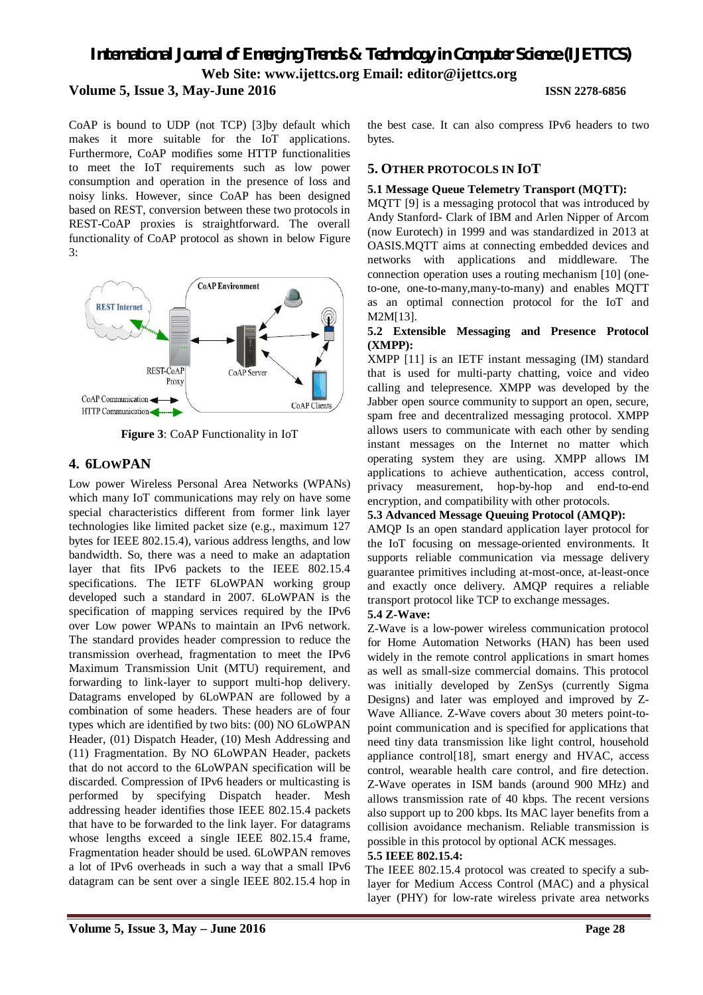# *International Journal of Emerging Trends & Technology in Computer Science (IJETTCS)* **Web Site: www.ijettcs.org Email: editor@ijettcs.org Volume 5, Issue 3, May-June 2016 ISSN 2278-6856**

CoAP is bound to UDP (not TCP) [3]by default which makes it more suitable for the IoT applications. Furthermore, CoAP modifies some HTTP functionalities to meet the IoT requirements such as low power consumption and operation in the presence of loss and noisy links. However, since CoAP has been designed based on REST, conversion between these two protocols in REST-CoAP proxies is straightforward. The overall functionality of CoAP protocol as shown in below Figure 3:



**Figure 3**: CoAP Functionality in IoT

# **4. 6LOWPAN**

Low power Wireless Personal Area Networks (WPANs) which many IoT communications may rely on have some special characteristics different from former link layer technologies like limited packet size (e.g., maximum 127 bytes for IEEE 802.15.4), various address lengths, and low bandwidth. So, there was a need to make an adaptation layer that fits IPv6 packets to the IEEE 802.15.4 specifications. The IETF 6LoWPAN working group developed such a standard in 2007. 6LoWPAN is the specification of mapping services required by the IPv6 over Low power WPANs to maintain an IPv6 network. The standard provides header compression to reduce the transmission overhead, fragmentation to meet the IPv6 Maximum Transmission Unit (MTU) requirement, and forwarding to link-layer to support multi-hop delivery. Datagrams enveloped by 6LoWPAN are followed by a combination of some headers. These headers are of four types which are identified by two bits: (00) NO 6LoWPAN Header, (01) Dispatch Header, (10) Mesh Addressing and (11) Fragmentation. By NO 6LoWPAN Header, packets that do not accord to the 6LoWPAN specification will be discarded. Compression of IPv6 headers or multicasting is performed by specifying Dispatch header. Mesh addressing header identifies those IEEE 802.15.4 packets that have to be forwarded to the link layer. For datagrams whose lengths exceed a single IEEE 802.15.4 frame, Fragmentation header should be used. 6LoWPAN removes a lot of IPv6 overheads in such a way that a small IPv6 datagram can be sent over a single IEEE 802.15.4 hop in

the best case. It can also compress IPv6 headers to two bytes.

# **5. OTHER PROTOCOLS IN IOT**

#### **5.1 Message Queue Telemetry Transport (MQTT):**

MQTT [9] is a messaging protocol that was introduced by Andy Stanford- Clark of IBM and Arlen Nipper of Arcom (now Eurotech) in 1999 and was standardized in 2013 at OASIS.MQTT aims at connecting embedded devices and networks with applications and middleware. The connection operation uses a routing mechanism [10] (oneto-one, one-to-many,many-to-many) and enables MQTT as an optimal connection protocol for the IoT and M2M[13].

#### **5.2 Extensible Messaging and Presence Protocol (XMPP):**

XMPP [11] is an IETF instant messaging (IM) standard that is used for multi-party chatting, voice and video calling and telepresence. XMPP was developed by the Jabber open source community to support an open, secure, spam free and decentralized messaging protocol. XMPP allows users to communicate with each other by sending instant messages on the Internet no matter which operating system they are using. XMPP allows IM applications to achieve authentication, access control, privacy measurement, hop-by-hop and end-to-end encryption, and compatibility with other protocols.

#### **5.3 Advanced Message Queuing Protocol (AMQP):**

AMQP Is an open standard application layer protocol for the IoT focusing on message-oriented environments. It supports reliable communication via message delivery guarantee primitives including at-most-once, at-least-once and exactly once delivery. AMQP requires a reliable transport protocol like TCP to exchange messages.

#### **5.4 Z-Wave:**

Z-Wave is a low-power wireless communication protocol for Home Automation Networks (HAN) has been used widely in the remote control applications in smart homes as well as small-size commercial domains. This protocol was initially developed by ZenSys (currently Sigma Designs) and later was employed and improved by Z-Wave Alliance. Z-Wave covers about 30 meters point-topoint communication and is specified for applications that need tiny data transmission like light control, household appliance control[18], smart energy and HVAC, access control, wearable health care control, and fire detection. Z-Wave operates in ISM bands (around 900 MHz) and allows transmission rate of 40 kbps. The recent versions also support up to 200 kbps. Its MAC layer benefits from a collision avoidance mechanism. Reliable transmission is possible in this protocol by optional ACK messages.

#### **5.5 IEEE 802.15.4:**

The IEEE 802.15.4 protocol was created to specify a sublayer for Medium Access Control (MAC) and a physical layer (PHY) for low-rate wireless private area networks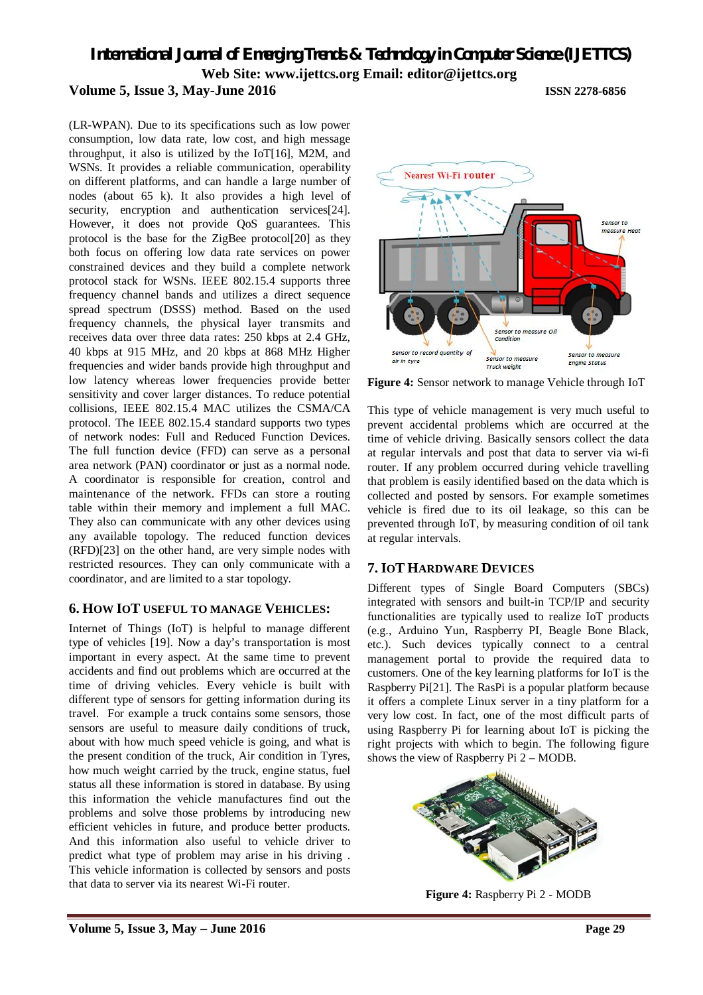*International Journal of Emerging Trends & Technology in Computer Science (IJETTCS)* **Web Site: www.ijettcs.org Email: editor@ijettcs.org** 

#### **Volume 5, Issue 3, May-June 2016 ISSN 2278-6856**

(LR-WPAN). Due to its specifications such as low power consumption, low data rate, low cost, and high message throughput, it also is utilized by the IoT[16], M2M, and WSNs. It provides a reliable communication, operability on different platforms, and can handle a large number of nodes (about 65 k). It also provides a high level of security, encryption and authentication services<sup>[24]</sup>. However, it does not provide QoS guarantees. This protocol is the base for the ZigBee protocol[20] as they both focus on offering low data rate services on power constrained devices and they build a complete network protocol stack for WSNs. IEEE 802.15.4 supports three frequency channel bands and utilizes a direct sequence spread spectrum (DSSS) method. Based on the used frequency channels, the physical layer transmits and receives data over three data rates: 250 kbps at 2.4 GHz, 40 kbps at 915 MHz, and 20 kbps at 868 MHz Higher frequencies and wider bands provide high throughput and low latency whereas lower frequencies provide better sensitivity and cover larger distances. To reduce potential collisions, IEEE 802.15.4 MAC utilizes the CSMA/CA protocol. The IEEE 802.15.4 standard supports two types of network nodes: Full and Reduced Function Devices. The full function device (FFD) can serve as a personal area network (PAN) coordinator or just as a normal node. A coordinator is responsible for creation, control and maintenance of the network. FFDs can store a routing table within their memory and implement a full MAC. They also can communicate with any other devices using any available topology. The reduced function devices (RFD)[23] on the other hand, are very simple nodes with restricted resources. They can only communicate with a coordinator, and are limited to a star topology.

# **6. HOW IOT USEFUL TO MANAGE VEHICLES:**

Internet of Things (IoT) is helpful to manage different type of vehicles [19]. Now a day's transportation is most important in every aspect. At the same time to prevent accidents and find out problems which are occurred at the time of driving vehicles. Every vehicle is built with different type of sensors for getting information during its travel. For example a truck contains some sensors, those sensors are useful to measure daily conditions of truck, about with how much speed vehicle is going, and what is the present condition of the truck, Air condition in Tyres, how much weight carried by the truck, engine status, fuel status all these information is stored in database. By using this information the vehicle manufactures find out the problems and solve those problems by introducing new efficient vehicles in future, and produce better products. And this information also useful to vehicle driver to predict what type of problem may arise in his driving . This vehicle information is collected by sensors and posts that data to server via its nearest Wi-Fi router.



**Figure 4:** Sensor network to manage Vehicle through IoT

This type of vehicle management is very much useful to prevent accidental problems which are occurred at the time of vehicle driving. Basically sensors collect the data at regular intervals and post that data to server via wi-fi router. If any problem occurred during vehicle travelling that problem is easily identified based on the data which is collected and posted by sensors. For example sometimes vehicle is fired due to its oil leakage, so this can be prevented through IoT, by measuring condition of oil tank at regular intervals.

# **7. IOT HARDWARE DEVICES**

Different types of Single Board Computers (SBCs) integrated with sensors and built-in TCP/IP and security functionalities are typically used to realize IoT products (e.g., Arduino Yun, Raspberry PI, Beagle Bone Black, etc.). Such devices typically connect to a central management portal to provide the required data to customers. One of the key learning platforms for IoT is the Raspberry Pi[21]. The RasPi is a popular platform because it offers a complete Linux server in a tiny platform for a very low cost. In fact, one of the most difficult parts of using Raspberry Pi for learning about IoT is picking the right projects with which to begin. The following figure shows the view of Raspberry Pi 2 – MODB.



**Figure 4:** Raspberry Pi 2 - MODB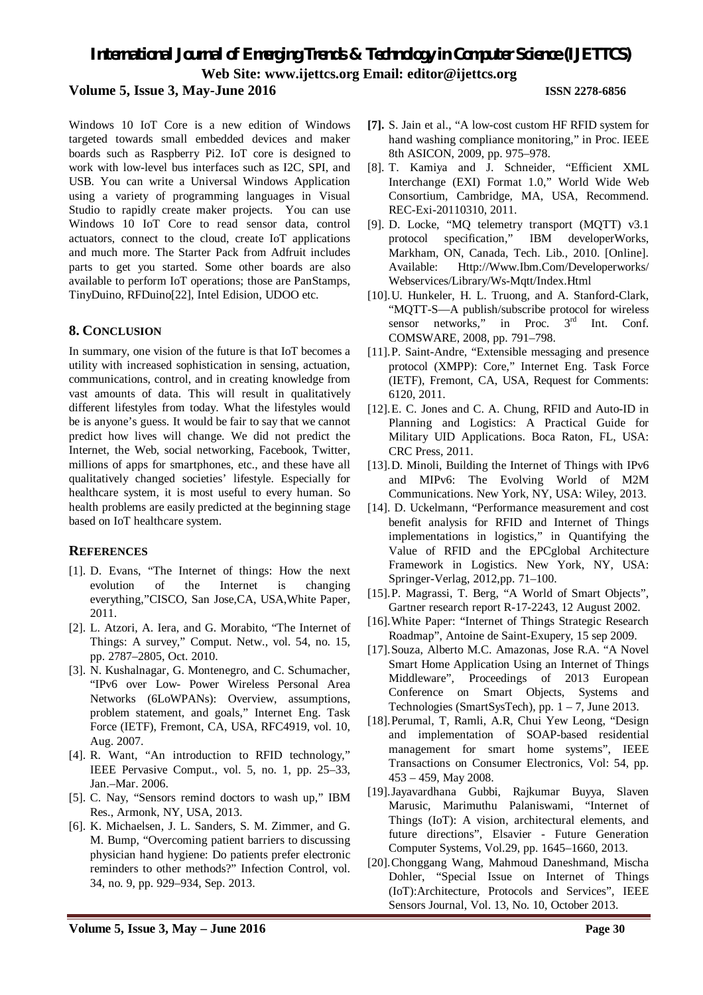# *International Journal of Emerging Trends & Technology in Computer Science (IJETTCS)* **Web Site: www.ijettcs.org Email: editor@ijettcs.org**

# **Volume 5, Issue 3, May-June 2016 ISSN 2278-6856**

Windows 10 IoT Core is a new edition of Windows targeted towards small embedded devices and maker boards such as Raspberry Pi2. IoT core is designed to work with low-level bus interfaces such as I2C, SPI, and USB. You can write a Universal Windows Application using a variety of programming languages in Visual Studio to rapidly create maker projects. You can use Windows 10 IoT Core to read sensor data, control actuators, connect to the cloud, create IoT applications and much more. The Starter Pack from Adfruit includes parts to get you started. Some other boards are also available to perform IoT operations; those are PanStamps, TinyDuino, RFDuino[22], Intel Edision, UDOO etc.

### **8. CONCLUSION**

In summary, one vision of the future is that IoT becomes a utility with increased sophistication in sensing, actuation, communications, control, and in creating knowledge from vast amounts of data. This will result in qualitatively different lifestyles from today. What the lifestyles would be is anyone's guess. It would be fair to say that we cannot predict how lives will change. We did not predict the Internet, the Web, social networking, Facebook, Twitter, millions of apps for smartphones, etc., and these have all qualitatively changed societies' lifestyle. Especially for healthcare system, it is most useful to every human. So health problems are easily predicted at the beginning stage based on IoT healthcare system.

#### **REFERENCES**

- [1]. D. Evans, "The Internet of things: How the next evolution of the Internet is changing everything,"CISCO, San Jose,CA, USA,White Paper, 2011.
- [2]. L. Atzori, A. Iera, and G. Morabito, "The Internet of Things: A survey," Comput. Netw., vol. 54, no. 15, pp. 2787–2805, Oct. 2010.
- [3]. N. Kushalnagar, G. Montenegro, and C. Schumacher, "IPv6 over Low- Power Wireless Personal Area Networks (6LoWPANs): Overview, assumptions, problem statement, and goals," Internet Eng. Task Force (IETF), Fremont, CA, USA, RFC4919, vol. 10, Aug. 2007.
- [4]. R. Want, "An introduction to RFID technology," IEEE Pervasive Comput., vol. 5, no. 1, pp. 25–33, Jan.–Mar. 2006.
- [5]. C. Nay, "Sensors remind doctors to wash up," IBM Res., Armonk, NY, USA, 2013.
- [6]. K. Michaelsen, J. L. Sanders, S. M. Zimmer, and G. M. Bump, "Overcoming patient barriers to discussing physician hand hygiene: Do patients prefer electronic reminders to other methods?" Infection Control, vol. 34, no. 9, pp. 929–934, Sep. 2013.
- **[7].** S. Jain et al., "A low-cost custom HF RFID system for hand washing compliance monitoring," in Proc. IEEE 8th ASICON, 2009, pp. 975–978.
- [8]. T. Kamiya and J. Schneider, "Efficient XML Interchange (EXI) Format 1.0," World Wide Web Consortium, Cambridge, MA, USA, Recommend. REC-Exi-20110310, 2011.
- [9]. D. Locke, "MQ telemetry transport (MQTT) v3.1 protocol specification," IBM developerWorks, Markham, ON, Canada, Tech. Lib., 2010. [Online]. Available: Http://Www.Ibm.Com/Developerworks/ Webservices/Library/Ws-Mqtt/Index.Html
- [10].U. Hunkeler, H. L. Truong, and A. Stanford-Clark, "MQTT-S—A publish/subscribe protocol for wireless sensor networks," in Proc.  $3<sup>rd</sup>$  Int. Conf. COMSWARE, 2008, pp. 791–798.
- [11].P. Saint-Andre, "Extensible messaging and presence protocol (XMPP): Core," Internet Eng. Task Force (IETF), Fremont, CA, USA, Request for Comments: 6120, 2011.
- [12].E. C. Jones and C. A. Chung, RFID and Auto-ID in Planning and Logistics: A Practical Guide for Military UID Applications. Boca Raton, FL, USA: CRC Press, 2011.
- [13].D. Minoli, Building the Internet of Things with IPv6 and MIPv6: The Evolving World of M2M Communications. New York, NY, USA: Wiley, 2013.
- [14]. D. Uckelmann, "Performance measurement and cost benefit analysis for RFID and Internet of Things implementations in logistics," in Quantifying the Value of RFID and the EPCglobal Architecture Framework in Logistics. New York, NY, USA: Springer-Verlag, 2012,pp. 71–100.
- [15].P. Magrassi, T. Berg, "A World of Smart Objects", Gartner research report R-17-2243, 12 August 2002.
- [16].White Paper: "Internet of Things Strategic Research Roadmap", Antoine de Saint-Exupery, 15 sep 2009.
- [17].Souza, Alberto M.C. Amazonas, Jose R.A. "A Novel Smart Home Application Using an Internet of Things Middleware", Proceedings of 2013 European Conference on Smart Objects, Systems and Technologies (SmartSysTech), pp.  $1 - 7$ , June 2013.
- [18].Perumal, T, Ramli, A.R, Chui Yew Leong, "Design and implementation of SOAP-based residential management for smart home systems", IEEE Transactions on Consumer Electronics, Vol: 54, pp. 453 – 459, May 2008.
- [19].Jayavardhana Gubbi, Rajkumar Buyya, Slaven Marusic, Marimuthu Palaniswami, "Internet of Things (IoT): A vision, architectural elements, and future directions", Elsavier - Future Generation Computer Systems, Vol.29, pp. 1645–1660, 2013.
- [20].Chonggang Wang, Mahmoud Daneshmand, Mischa Dohler, "Special Issue on Internet of Things (IoT):Architecture, Protocols and Services", IEEE Sensors Journal, Vol. 13, No. 10, October 2013.